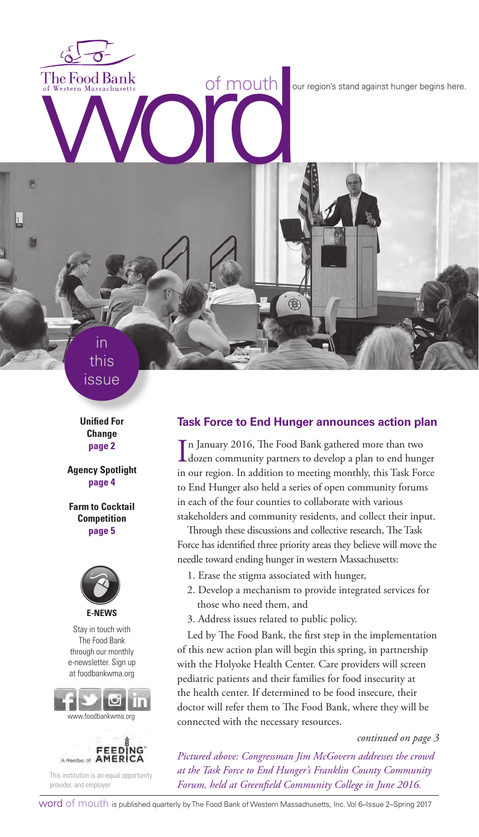The Food Bank<br>of Western Massachusetts<br>
With the Condition of Mouth<br>
The Food Bank<br>
Condition of Mouth<br>
The Condition of Mouth<br>
Condition of Mouth<br>
Conditions in a gainst hunger begins here.

in this issue

Ħ

**Unified For Change page 2**

**Agency Spotlight page 4**

**Farm to Cocktail Competition page 5**



Stay in touch with The Food Bank through our monthly e-newsletter. Sign up at foodbankwma.org





This institution is an equal opportunity provider, and employer.

#### **Task Force to End Hunger announces action plan**

Œ

In January 2016, The Food Bank gathered more than two<br>dozen community partners to develop a plan to end hunger n January 2016, The Food Bank gathered more than two in our region. In addition to meeting monthly, this Task Force to End Hunger also held a series of open community forums in each of the four counties to collaborate with various stakeholders and community residents, and collect their input.

Through these discussions and collective research, The Task Force has identified three priority areas they believe will move the needle toward ending hunger in western Massachusetts:

- 1. Erase the stigma associated with hunger,
- 2. Develop a mechanism to provide integrated services for those who need them, and
- 3. Address issues related to public policy.

Led by The Food Bank, the first step in the implementation of this new action plan will begin this spring, in partnership with the Holyoke Health Center. Care providers will screen pediatric patients and their families for food insecurity at the health center. If determined to be food insecure, their doctor will refer them to The Food Bank, where they will be connected with the necessary resources.

#### *continued on page 3*

*Pictured above: Congressman Jim McGovern addresses the crowd at the Task Force to End Hunger's Franklin County Community Forum, held at Greenfield Community College in June 2016.*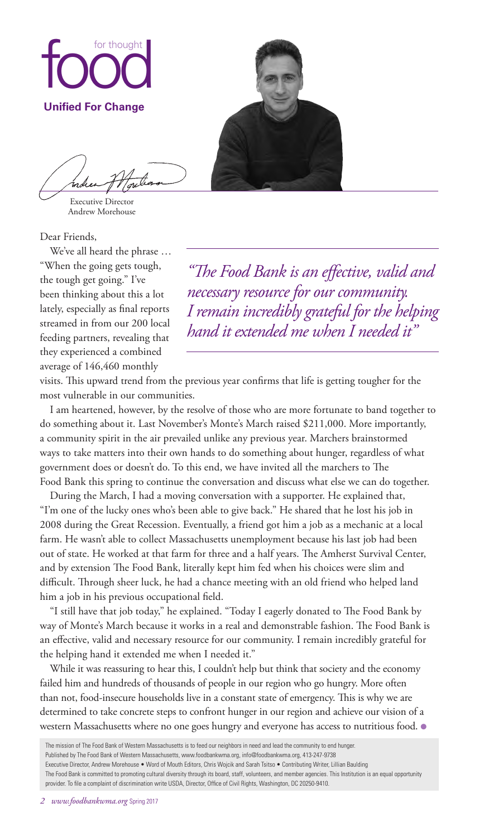

Executive Director Andrew Morehouse

Dear Friends,

We've all heard the phrase … "When the going gets tough, the tough get going." I've been thinking about this a lot lately, especially as final reports streamed in from our 200 local feeding partners, revealing that they experienced a combined average of 146,460 monthly

*"The Food Bank is an effective, valid and necessary resource for our community. I remain incredibly grateful for the helping hand it extended me when I needed it"*

visits. This upward trend from the previous year confirms that life is getting tougher for the most vulnerable in our communities.

I am heartened, however, by the resolve of those who are more fortunate to band together to do something about it. Last November's Monte's March raised \$211,000. More importantly, a community spirit in the air prevailed unlike any previous year. Marchers brainstormed ways to take matters into their own hands to do something about hunger, regardless of what government does or doesn't do. To this end, we have invited all the marchers to The Food Bank this spring to continue the conversation and discuss what else we can do together.

During the March, I had a moving conversation with a supporter. He explained that, "I'm one of the lucky ones who's been able to give back." He shared that he lost his job in 2008 during the Great Recession. Eventually, a friend got him a job as a mechanic at a local farm. He wasn't able to collect Massachusetts unemployment because his last job had been out of state. He worked at that farm for three and a half years. The Amherst Survival Center, and by extension The Food Bank, literally kept him fed when his choices were slim and difficult. Through sheer luck, he had a chance meeting with an old friend who helped land him a job in his previous occupational field.

"I still have that job today," he explained. "Today I eagerly donated to The Food Bank by way of Monte's March because it works in a real and demonstrable fashion. The Food Bank is an effective, valid and necessary resource for our community. I remain incredibly grateful for the helping hand it extended me when I needed it."

While it was reassuring to hear this, I couldn't help but think that society and the economy failed him and hundreds of thousands of people in our region who go hungry. More often than not, food-insecure households live in a constant state of emergency. This is why we are determined to take concrete steps to confront hunger in our region and achieve our vision of a western Massachusetts where no one goes hungry and everyone has access to nutritious food. ●

The mission of The Food Bank of Western Massachusetts is to feed our neighbors in need and lead the community to end hunger. Published by The Food Bank of Western Massachusetts, www.foodbankwma.org, info@foodbankwma.org, 413-247-9738 Executive Director, Andrew Morehouse • Word of Mouth Editors, Chris Wojcik and Sarah Tsitso • Contributing Writer, Lillian Baulding The Food Bank is committed to promoting cultural diversity through its board, staff, volunteers, and member agencies. This Institution is an equal opportunity provider. To file a complaint of discrimination write USDA, Director, Office of Civil Rights, Washington, DC 20250-9410.

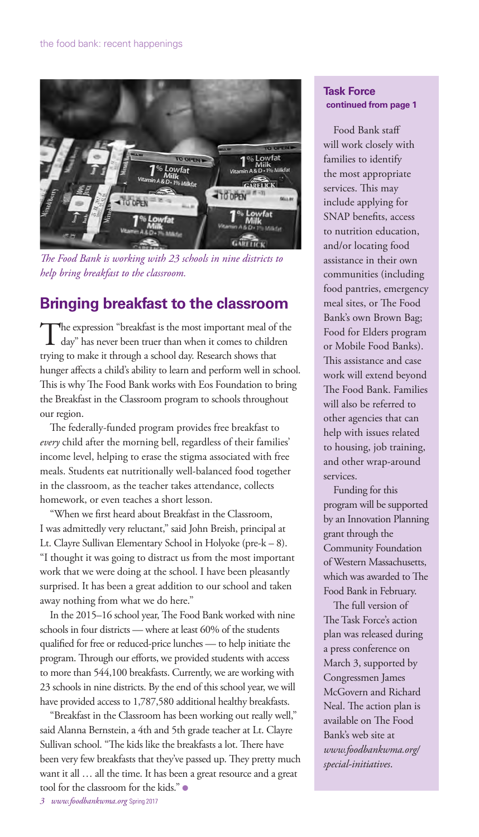

*The Food Bank is working with 23 schools in nine districts to help bring breakfast to the classroom.* 

# **Bringing breakfast to the classroom**

The expression "breakfast is the most important meal of the day" has never been truer than when it comes to children trying to make it through a school day. Research shows that hunger affects a child's ability to learn and perform well in school. This is why The Food Bank works with Eos Foundation to bring the Breakfast in the Classroom program to schools throughout our region.

The federally-funded program provides free breakfast to *every* child after the morning bell, regardless of their families' income level, helping to erase the stigma associated with free meals. Students eat nutritionally well-balanced food together in the classroom, as the teacher takes attendance, collects homework, or even teaches a short lesson.

"When we first heard about Breakfast in the Classroom, I was admittedly very reluctant," said John Breish, principal at Lt. Clayre Sullivan Elementary School in Holyoke (pre-k – 8). "I thought it was going to distract us from the most important work that we were doing at the school. I have been pleasantly surprised. It has been a great addition to our school and taken away nothing from what we do here."

In the 2015–16 school year, The Food Bank worked with nine schools in four districts — where at least 60% of the students qualified for free or reduced-price lunches — to help initiate the program. Through our efforts, we provided students with access to more than 544,100 breakfasts. Currently, we are working with 23 schools in nine districts. By the end of this school year, we will have provided access to 1,787,580 additional healthy breakfasts.

"Breakfast in the Classroom has been working out really well," said Alanna Bernstein, a 4th and 5th grade teacher at Lt. Clayre Sullivan school. "The kids like the breakfasts a lot. There have been very few breakfasts that they've passed up. They pretty much want it all … all the time. It has been a great resource and a great tool for the classroom for the kids." ●

#### **Task Force continued from page 1**

Food Bank staff will work closely with families to identify the most appropriate services. This may include applying for SNAP benefits, access to nutrition education, and/or locating food assistance in their own communities (including food pantries, emergency meal sites, or The Food Bank's own Brown Bag; Food for Elders program or Mobile Food Banks). This assistance and case work will extend beyond The Food Bank. Families will also be referred to other agencies that can help with issues related to housing, job training, and other wrap-around services.

Funding for this program will be supported by an Innovation Planning grant through the Community Foundation of Western Massachusetts, which was awarded to The Food Bank in February.

The full version of The Task Force's action plan was released during a press conference on March 3, supported by Congressmen James McGovern and Richard Neal. The action plan is available on The Food Bank's web site at *www.foodbankwma.org/ special-initiatives*.

*3 www.foodbankwma.org* Spring 2017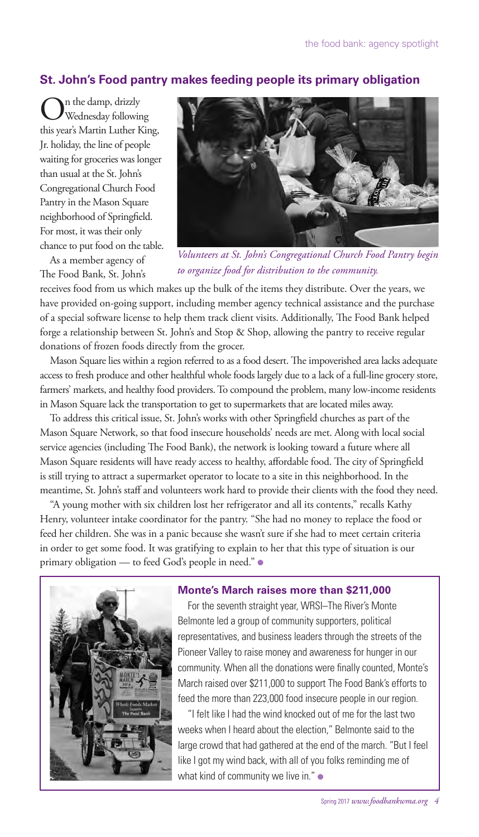### **St. John's Food pantry makes feeding people its primary obligation**

 $\bigodot^{\text{n} \text{ the damp, drizzly}}$ <br>Wednesday following this year's Martin Luther King, Jr. holiday, the line of people waiting for groceries was longer than usual at the St. John's Congregational Church Food Pantry in the Mason Square neighborhood of Springfield. For most, it was their only chance to put food on the table.

As a member agency of The Food Bank, St. John's



*Volunteers at St. John's Congregational Church Food Pantry begin to organize food for distribution to the community.*

receives food from us which makes up the bulk of the items they distribute. Over the years, we have provided on-going support, including member agency technical assistance and the purchase of a special software license to help them track client visits. Additionally, The Food Bank helped forge a relationship between St. John's and Stop & Shop, allowing the pantry to receive regular donations of frozen foods directly from the grocer.

Mason Square lies within a region referred to as a food desert. The impoverished area lacks adequate access to fresh produce and other healthful whole foods largely due to a lack of a full-line grocery store, farmers' markets, and healthy food providers. To compound the problem, many low-income residents in Mason Square lack the transportation to get to supermarkets that are located miles away.

To address this critical issue, St. John's works with other Springfield churches as part of the Mason Square Network, so that food insecure households' needs are met. Along with local social service agencies (including The Food Bank), the network is looking toward a future where all Mason Square residents will have ready access to healthy, affordable food. The city of Springfield is still trying to attract a supermarket operator to locate to a site in this neighborhood. In the meantime, St. John's staff and volunteers work hard to provide their clients with the food they need.

"A young mother with six children lost her refrigerator and all its contents," recalls Kathy Henry, volunteer intake coordinator for the pantry. "She had no money to replace the food or feed her children. She was in a panic because she wasn't sure if she had to meet certain criteria in order to get some food. It was gratifying to explain to her that this type of situation is our primary obligation — to feed God's people in need." ●



#### **Monte's March raises more than \$211,000**

For the seventh straight year, WRSI–The River's Monte Belmonte led a group of community supporters, political representatives, and business leaders through the streets of the Pioneer Valley to raise money and awareness for hunger in our community. When all the donations were finally counted, Monte's March raised over \$211,000 to support The Food Bank's efforts to feed the more than 223,000 food insecure people in our region.

"I felt like I had the wind knocked out of me for the last two weeks when I heard about the election," Belmonte said to the large crowd that had gathered at the end of the march. "But I feel like I got my wind back, with all of you folks reminding me of what kind of community we live in." ●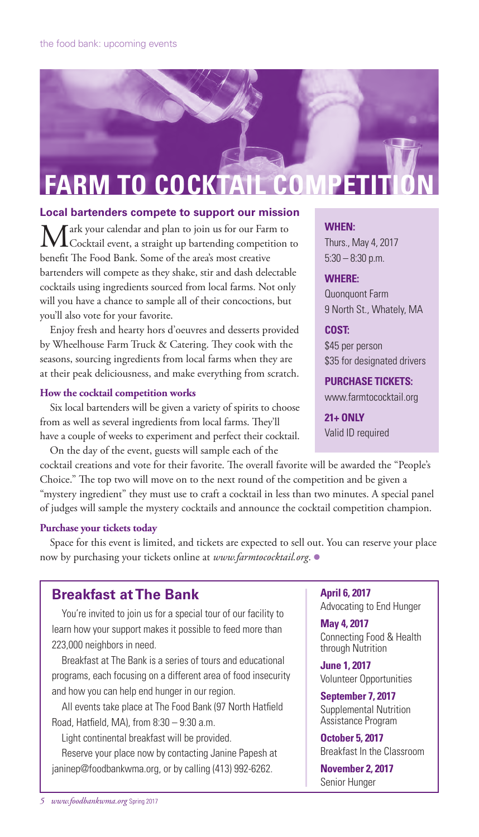# **FARM TO COCKTAIL COMPET**

#### **Local bartenders compete to support our mission**

ark your calendar and plan to join us for our Farm to Cocktail event, a straight up bartending competition to benefit The Food Bank. Some of the area's most creative bartenders will compete as they shake, stir and dash delectable cocktails using ingredients sourced from local farms. Not only will you have a chance to sample all of their concoctions, but you'll also vote for your favorite.

Enjoy fresh and hearty hors d'oeuvres and desserts provided by Wheelhouse Farm Truck & Catering. They cook with the seasons, sourcing ingredients from local farms when they are at their peak deliciousness, and make everything from scratch.

#### **How the cocktail competition works**

Six local bartenders will be given a variety of spirits to choose from as well as several ingredients from local farms. They'll have a couple of weeks to experiment and perfect their cocktail.

On the day of the event, guests will sample each of the cocktail creations and vote for their favorite. The overall favorite will be awarded the "People's Choice." The top two will move on to the next round of the competition and be given a "mystery ingredient" they must use to craft a cocktail in less than two minutes. A special panel of judges will sample the mystery cocktails and announce the cocktail competition champion.

#### **Purchase your tickets today**

Space for this event is limited, and tickets are expected to sell out. You can reserve your place now by purchasing your tickets online at *www.farmtococktail.org*. ●

## **Breakfast at The Bank**

You're invited to join us for a special tour of our facility to learn how your support makes it possible to feed more than 223,000 neighbors in need.

Breakfast at The Bank is a series of tours and educational programs, each focusing on a different area of food insecurity and how you can help end hunger in our region.

All events take place at The Food Bank (97 North Hatfield Road, Hatfield, MA), from 8:30 – 9:30 a.m.

Light continental breakfast will be provided.

Reserve your place now by contacting Janine Papesh at janinep@foodbankwma.org, or by calling (413) 992-6262.

#### **WHEN:**

Thurs., May 4, 2017 5:30 – 8:30 p.m.

#### **WHERE:**

Quonquont Farm 9 North St., Whately, MA

#### **COST:**

\$45 per person \$35 for designated drivers

**PURCHASE TICKETS:** www.farmtococktail.org

**21+ ONLY** Valid ID required

**April 6, 2017** Advocating to End Hunger

**May 4, 2017** Connecting Food & Health through Nutrition

**June 1, 2017** Volunteer Opportunities

**September 7, 2017** Supplemental Nutrition Assistance Program

**October 5, 2017** Breakfast In the Classroom

**November 2, 2017** Senior Hunger